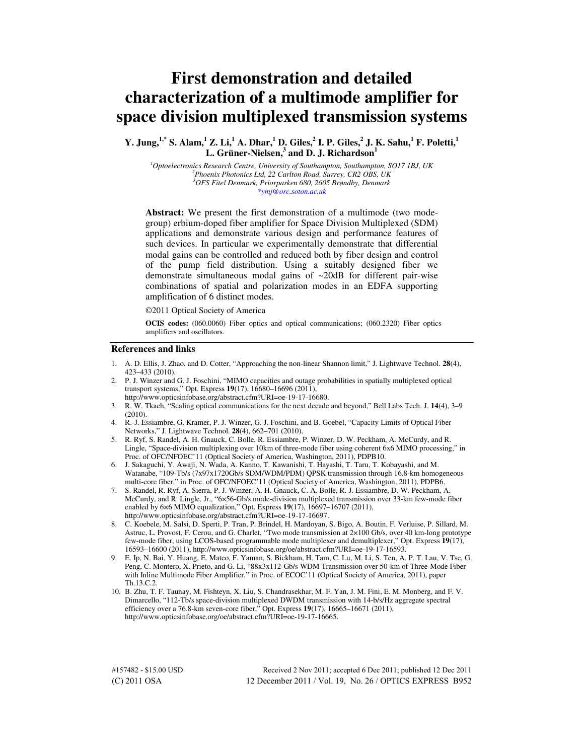# **First demonstration and detailed characterization of a multimode amplifier for space division multiplexed transmission systems**

**Y. Jung,1,\* S. Alam,<sup>1</sup> Z. Li,<sup>1</sup> A. Dhar,<sup>1</sup> D. Giles,<sup>2</sup> I. P. Giles,<sup>2</sup> J. K. Sahu,<sup>1</sup> F. Poletti,<sup>1</sup> L. Grüner-Nielsen,<sup>3</sup> and D. J. Richardson<sup>1</sup>**

*Optoelectronics Research Centre, University of Southampton, Southampton, SO17 1BJ, UK Phoenix Photonics Ltd, 22 Carlton Road, Surrey, CR2 OBS, UK OFS Fitel Denmark, Priorparken 680, 2605 Brøndby, Denmark \*ymj@orc.soton.ac.uk* 

**Abstract:** We present the first demonstration of a multimode (two modegroup) erbium-doped fiber amplifier for Space Division Multiplexed (SDM) applications and demonstrate various design and performance features of such devices. In particular we experimentally demonstrate that differential modal gains can be controlled and reduced both by fiber design and control of the pump field distribution. Using a suitably designed fiber we demonstrate simultaneous modal gains of ~20dB for different pair-wise combinations of spatial and polarization modes in an EDFA supporting amplification of 6 distinct modes.

©2011 Optical Society of America

**OCIS codes:** (060.0060) Fiber optics and optical communications; (060.2320) Fiber optics amplifiers and oscillators.

#### **References and links**

- 1. A. D. Ellis, J. Zhao, and D. Cotter, "Approaching the non-linear Shannon limit," J. Lightwave Technol. **28**(4), 423–433 (2010).
- 2. P. J. Winzer and G. J. Foschini, "MIMO capacities and outage probabilities in spatially multiplexed optical transport systems," Opt. Express **19**(17), 16680–16696 (2011), http://www.opticsinfobase.org/abstract.cfm?URI=oe-19-17-16680.
- 3. R. W. Tkach, "Scaling optical communications for the next decade and beyond," Bell Labs Tech. J. **14**(4), 3–9 (2010).
- 4. R.-J. Essiambre, G. Kramer, P. J. Winzer, G. J. Foschini, and B. Goebel, "Capacity Limits of Optical Fiber Networks," J. Lightwave Technol. **28**(4), 662–701 (2010).
- 5. R. Ryf, S. Randel, A. H. Gnauck, C. Bolle, R. Essiambre, P. Winzer, D. W. Peckham, A. McCurdy, and R. Lingle, "Space-division multiplexing over 10km of three-mode fiber using coherent 6x6 MIMO processing," in Proc. of OFC/NFOEC'11 (Optical Society of America, Washington, 2011), PDPB10.
- 6. J. Sakaguchi, Y. Awaji, N. Wada, A. Kanno, T. Kawanishi, T. Hayashi, T. Taru, T. Kobayashi, and M. Watanabe, "109-Tb/s (7x97x1720Gb/s SDM/WDM/PDM) QPSK transmission through 16.8-km homogeneous multi-core fiber," in Proc. of OFC/NFOEC'11 (Optical Society of America, Washington, 2011), PDPB6.
- 7. S. Randel, R. Ryf, A. Sierra, P. J. Winzer, A. H. Gnauck, C. A. Bolle, R. J. Essiambre, D. W. Peckham, A. McCurdy, and R. Lingle, Jr., "6×56-Gb/s mode-division multiplexed transmission over 33-km few-mode fiber enabled by 6×6 MIMO equalization," Opt. Express **19**(17), 16697–16707 (2011), http://www.opticsinfobase.org/abstract.cfm?URI=oe-19-17-16697.
- 8. C. Koebele, M. Salsi, D. Sperti, P. Tran, P. Brindel, H. Mardoyan, S. Bigo, A. Boutin, F. Verluise, P. Sillard, M. Astruc, L. Provost, F. Cerou, and G. Charlet, "Two mode transmission at 2×100 Gb/s, over 40 km-long prototype few-mode fiber, using LCOS-based programmable mode multiplexer and demultiplexer," Opt. Express **19**(17), 16593–16600 (2011), http://www.opticsinfobase.org/oe/abstract.cfm?URI=oe-19-17-16593.
- 9. E. Ip, N. Bai, Y. Huang, E. Mateo, F. Yaman, S. Bickham, H. Tam, C. Lu, M. Li, S. Ten, A. P. T. Lau, V. Tse, G. Peng, C. Montero, X. Prieto, and G. Li, "88x3x112-Gb/s WDM Transmission over 50-km of Three-Mode Fiber with Inline Multimode Fiber Amplifier," in Proc. of ECOC'11 (Optical Society of America, 2011), paper Th.13.C.2.
- 10. B. Zhu, T. F. Taunay, M. Fishteyn, X. Liu, S. Chandrasekhar, M. F. Yan, J. M. Fini, E. M. Monberg, and F. V. Dimarcello, "112-Tb/s space-division multiplexed DWDM transmission with 14-b/s/Hz aggregate spectral efficiency over a 76.8-km seven-core fiber," Opt. Express **19**(17), 16665–16671 (2011), http://www.opticsinfobase.org/oe/abstract.cfm?URI=oe-19-17-16665.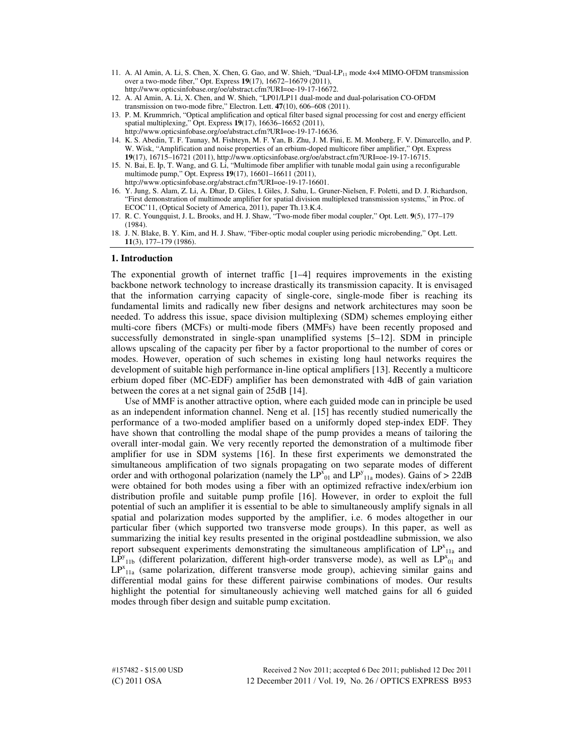- 11. A. Al Amin, A. Li, S. Chen, X. Chen, G. Gao, and W. Shieh, "Dual-LP<sub>11</sub> mode 4×4 MIMO-OFDM transmission over a two-mode fiber," Opt. Express **19**(17), 16672–16679 (2011), http://www.opticsinfobase.org/oe/abstract.cfm?URI=oe-19-17-16672.
- 12. A. Al Amin, A. Li, X. Chen, and W. Shieh, "LP01/LP11 dual-mode and dual-polarisation CO-OFDM transmission on two-mode fibre," Electron. Lett. **47**(10), 606–608 (2011).
- 13. P. M. Krummrich, "Optical amplification and optical filter based signal processing for cost and energy efficient spatial multiplexing," Opt. Express **19**(17), 16636–16652 (2011), http://www.opticsinfobase.org/oe/abstract.cfm?URI=oe-19-17-16636.
- 14. K. S. Abedin, T. F. Taunay, M. Fishteyn, M. F. Yan, B. Zhu, J. M. Fini, E. M. Monberg, F. V. Dimarcello, and P. W. Wisk, "Amplification and noise properties of an erbium-doped multicore fiber amplifier," Opt. Express **19**(17), 16715–16721 (2011), http://www.opticsinfobase.org/oe/abstract.cfm?URI=oe-19-17-16715.
- 15. N. Bai, E. Ip, T. Wang, and G. Li, "Multimode fiber amplifier with tunable modal gain using a reconfigurable multimode pump," Opt. Express **19**(17), 16601–16611 (2011), http://www.opticsinfobase.org/abstract.cfm?URI=oe-19-17-16601.
- 16. Y. Jung, S. Alam, Z. Li, A. Dhar, D. Giles, I. Giles, J. Sahu, L. Gruner-Nielsen, F. Poletti, and D. J. Richardson, "First demonstration of multimode amplifier for spatial division multiplexed transmission systems," in Proc. of ECOC'11, (Optical Society of America, 2011), paper Th.13.K.4.
- 17. R. C. Youngquist, J. L. Brooks, and H. J. Shaw, "Two-mode fiber modal coupler," Opt. Lett. **9**(5), 177–179 (1984).
- 18. J. N. Blake, B. Y. Kim, and H. J. Shaw, "Fiber-optic modal coupler using periodic microbending," Opt. Lett. **11**(3), 177–179 (1986).

#### **1. Introduction**

The exponential growth of internet traffic  $[1-4]$  requires improvements in the existing backbone network technology to increase drastically its transmission capacity. It is envisaged that the information carrying capacity of single-core, single-mode fiber is reaching its fundamental limits and radically new fiber designs and network architectures may soon be needed. To address this issue, space division multiplexing (SDM) schemes employing either multi-core fibers (MCFs) or multi-mode fibers (MMFs) have been recently proposed and successfully demonstrated in single-span unamplified systems [5–12]. SDM in principle allows upscaling of the capacity per fiber by a factor proportional to the number of cores or modes. However, operation of such schemes in existing long haul networks requires the development of suitable high performance in-line optical amplifiers [13]. Recently a multicore erbium doped fiber (MC-EDF) amplifier has been demonstrated with 4dB of gain variation between the cores at a net signal gain of 25dB [14].

Use of MMF is another attractive option, where each guided mode can in principle be used as an independent information channel. Neng et al. [15] has recently studied numerically the performance of a two-moded amplifier based on a uniformly doped step-index EDF. They have shown that controlling the modal shape of the pump provides a means of tailoring the overall inter-modal gain. We very recently reported the demonstration of a multimode fiber amplifier for use in SDM systems [16]. In these first experiments we demonstrated the simultaneous amplification of two signals propagating on two separate modes of different order and with orthogonal polarization (namely the  $LP_{01}^{\text{N}}$  and  $LP_{11a}^{\text{N}}$  modes). Gains of > 22dB were obtained for both modes using a fiber with an optimized refractive index/erbium ion distribution profile and suitable pump profile [16]. However, in order to exploit the full potential of such an amplifier it is essential to be able to simultaneously amplify signals in all spatial and polarization modes supported by the amplifier, i.e. 6 modes altogether in our particular fiber (which supported two transverse mode groups). In this paper, as well as summarizing the initial key results presented in the original postdeadline submission, we also report subsequent experiments demonstrating the simultaneous amplification of  $LP^{x}_{11a}$  and  $LP_{11b}^y$  (different polarization, different high-order transverse mode), as well as  $LP_{01}^x$  and LP<sup>x</sup><sub>11a</sub> (same polarization, different transverse mode group), achieving similar gains and differential modal gains for these different pairwise combinations of modes. Our results highlight the potential for simultaneously achieving well matched gains for all 6 guided modes through fiber design and suitable pump excitation.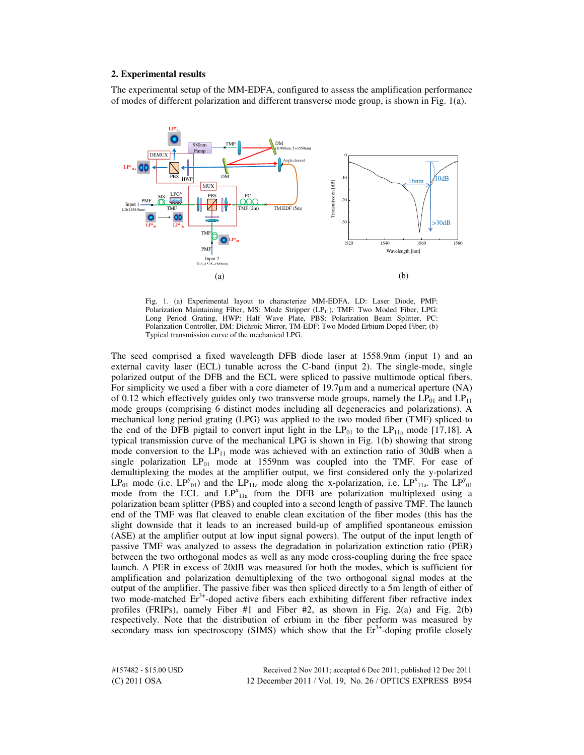## **2. Experimental results**

The experimental setup of the MM-EDFA, configured to assess the amplification performance of modes of different polarization and different transverse mode group, is shown in Fig. 1(a).



Fig. 1. (a) Experimental layout to characterize MM-EDFA. LD: Laser Diode, PMF: Polarization Maintaining Fiber, MS: Mode Stripper (LP<sub>11</sub>), TMF: Two Moded Fiber, LPG: Long Period Grating, HWP: Half Wave Plate, PBS: Polarization Beam Splitter, PC: Polarization Controller, DM: Dichroic Mirror, TM-EDF: Two Moded Erbium Doped Fiber; (b) Typical transmission curve of the mechanical LPG.

The seed comprised a fixed wavelength DFB diode laser at 1558.9nm (input 1) and an external cavity laser (ECL) tunable across the C-band (input 2). The single-mode, single polarized output of the DFB and the ECL were spliced to passive multimode optical fibers. For simplicity we used a fiber with a core diameter of 19.7µm and a numerical aperture (NA) of 0.12 which effectively guides only two transverse mode groups, namely the  $LP_{01}$  and  $LP_{11}$ mode groups (comprising 6 distinct modes including all degeneracies and polarizations). A mechanical long period grating (LPG) was applied to the two moded fiber (TMF) spliced to the end of the DFB pigtail to convert input light in the  $LP_{01}$  to the  $LP_{11a}$  mode [17,18]. A typical transmission curve of the mechanical LPG is shown in Fig. 1(b) showing that strong mode conversion to the  $LP_{11}$  mode was achieved with an extinction ratio of 30dB when a single polarization  $LP_{01}$  mode at 1559nm was coupled into the TMF. For ease of demultiplexing the modes at the amplifier output, we first considered only the y-polarized LP<sub>01</sub> mode (i.e. LP<sup>y</sup><sub>01</sub>) and the LP<sub>11a</sub> mode along the x-polarization, i.e. LP<sup>x</sup><sub>11a</sub>. The LP<sup>y</sup><sub>01</sub> mode from the ECL and LP<sup>x</sup><sub>11a</sub> from the DFB are polarization multiplexed using a polarization beam splitter (PBS) and coupled into a second length of passive TMF. The launch end of the TMF was flat cleaved to enable clean excitation of the fiber modes (this has the slight downside that it leads to an increased build-up of amplified spontaneous emission (ASE) at the amplifier output at low input signal powers). The output of the input length of passive TMF was analyzed to assess the degradation in polarization extinction ratio (PER) between the two orthogonal modes as well as any mode cross-coupling during the free space launch. A PER in excess of 20dB was measured for both the modes, which is sufficient for amplification and polarization demultiplexing of the two orthogonal signal modes at the output of the amplifier. The passive fiber was then spliced directly to a 5m length of either of two mode-matched  $Er<sup>3+</sup>$ -doped active fibers each exhibiting different fiber refractive index profiles (FRIPs), namely Fiber #1 and Fiber #2, as shown in Fig. 2(a) and Fig. 2(b) respectively. Note that the distribution of erbium in the fiber perform was measured by secondary mass ion spectroscopy (SIMS) which show that the  $Er<sup>3+</sup>$ -doping profile closely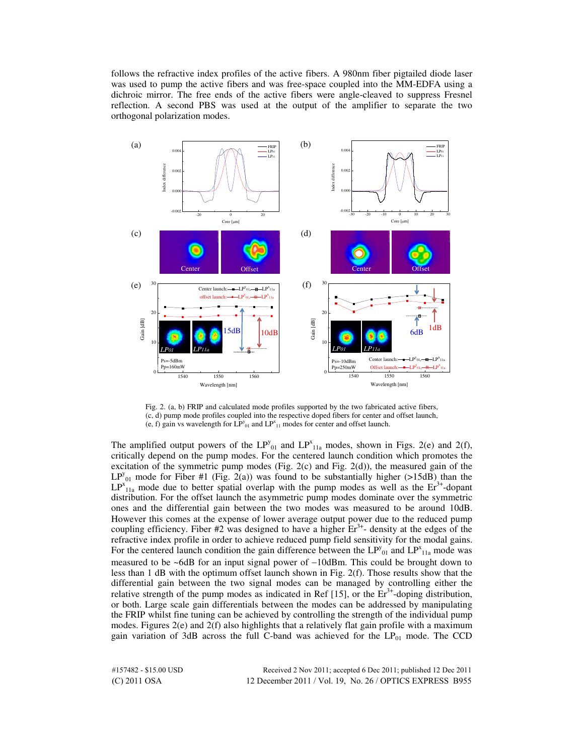follows the refractive index profiles of the active fibers. A 980nm fiber pigtailed diode laser was used to pump the active fibers and was free-space coupled into the MM-EDFA using a dichroic mirror. The free ends of the active fibers were angle-cleaved to suppress Fresnel reflection. A second PBS was used at the output of the amplifier to separate the two orthogonal polarization modes.



Fig. 2. (a, b) FRIP and calculated mode profiles supported by the two fabricated active fibers, (c, d) pump mode profiles coupled into the respective doped fibers for center and offset launch, (e, f) gain vs wavelength for  $LP_{01}^{\nu}$  and  $LP_{11}^{\nu}$  modes for center and offset launch.

The amplified output powers of the  $LP_{01}^y$  and  $LP_{11a}^x$  modes, shown in Figs. 2(e) and 2(f), critically depend on the pump modes. For the centered launch condition which promotes the excitation of the symmetric pump modes (Fig. 2(c) and Fig. 2(d)), the measured gain of the  $LP_{01}^y$  mode for Fiber #1 (Fig. 2(a)) was found to be substantially higher (>15dB) than the  $LP_{11a}^x$  mode due to better spatial overlap with the pump modes as well as the  $Er^{3+}$ -dopant distribution. For the offset launch the asymmetric pump modes dominate over the symmetric ones and the differential gain between the two modes was measured to be around 10dB. However this comes at the expense of lower average output power due to the reduced pump coupling efficiency. Fiber #2 was designed to have a higher  $Er<sup>3+</sup>$ - density at the edges of the refractive index profile in order to achieve reduced pump field sensitivity for the modal gains. For the centered launch condition the gain difference between the  $LP_{01}^{\nu}$  and  $LP_{11a}^{\nu}$  mode was measured to be ~6dB for an input signal power of −10dBm. This could be brought down to less than 1 dB with the optimum offset launch shown in Fig. 2(f). Those results show that the differential gain between the two signal modes can be managed by controlling either the relative strength of the pump modes as indicated in Ref [15], or the  $Er<sup>3+</sup>$ -doping distribution, or both. Large scale gain differentials between the modes can be addressed by manipulating the FRIP whilst fine tuning can be achieved by controlling the strength of the individual pump modes. Figures  $2(e)$  and  $2(f)$  also highlights that a relatively flat gain profile with a maximum gain variation of 3dB across the full C-band was achieved for the LP<sub>01</sub> mode. The CCD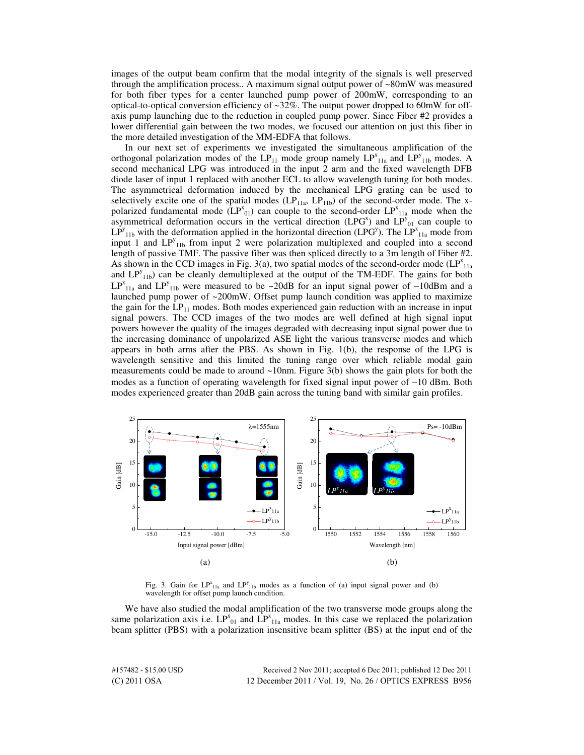images of the output beam confirm that the modal integrity of the signals is well preserved through the amplification process.. A maximum signal output power of  $\sim 80$ mW was measured for both fiber types for a center launched pump power of 200mW, corresponding to an optical-to-optical conversion efficiency of  $\sim$ 32%. The output power dropped to 60mW for offaxis pump launching due to the reduction in coupled pump power. Since Fiber #2 provides a lower differential gain between the two modes, we focused our attention on just this fiber in the more detailed investigation of the MM-EDFA that follows.

In our next set of experiments we investigated the simultaneous amplification of the orthogonal polarization modes of the  $LP_{11}$  mode group namely  $LP_{11a}^x$  and  $LP_{11b}^y$  modes. A second mechanical LPG was introduced in the input 2 arm and the fixed wavelength DFB diode laser of input 1 replaced with another ECL to allow wavelength tuning for both modes. The asymmetrical deformation induced by the mechanical LPG grating can be used to selectively excite one of the spatial modes  $(LP_{11a}, LP_{11b})$  of the second-order mode. The xpolarized fundamental mode  $(LP^{x}_{01})$  can couple to the second-order  $LP^{x}_{11a}$  mode when the asymmetrical deformation occurs in the vertical direction (LPG<sup>x</sup>) and  $LP^{y}_{01}$  can couple to  $LP_{11b}^y$  with the deformation applied in the horizontal direction (LPG<sup>y</sup>). The LP<sup>x</sup><sub>11a</sub> mode from input 1 and  $LP_{11b}^y$  from input 2 were polarization multiplexed and coupled into a second length of passive TMF. The passive fiber was then spliced directly to a 3m length of Fiber #2. As shown in the CCD images in Fig. 3(a), two spatial modes of the second-order mode  $\text{LP}^{\text{x}}_{11a}$ and  $LP_{11b}^y$  can be cleanly demultiplexed at the output of the TM-EDF. The gains for both LP<sup>x</sup><sub>11a</sub> and LP<sup>y</sup><sub>11b</sub> were measured to be ~20dB for an input signal power of -10dBm and a launched pump power of  $\sim 200$ mW. Offset pump launch condition was applied to maximize the gain for the  $LP_{11}$  modes. Both modes experienced gain reduction with an increase in input signal powers. The CCD images of the two modes are well defined at high signal input powers however the quality of the images degraded with decreasing input signal power due to the increasing dominance of unpolarized ASE light the various transverse modes and which appears in both arms after the PBS. As shown in Fig. 1(b), the response of the LPG is wavelength sensitive and this limited the tuning range over which reliable modal gain measurements could be made to around  $\sim$ 10nm. Figure 3(b) shows the gain plots for both the modes as a function of operating wavelength for fixed signal input power of −10 dBm. Both modes experienced greater than 20dB gain across the tuning band with similar gain profiles.



Fig. 3. Gain for  $LP^{x}_{11a}$  and  $LP^{y}_{11b}$  modes as a function of (a) input signal power and (b) wavelength for offset pump launch condition.

We have also studied the modal amplification of the two transverse mode groups along the same polarization axis i.e.  $LP_{01}^x$  and  $LP_{11a}^x$  modes. In this case we replaced the polarization beam splitter (PBS) with a polarization insensitive beam splitter (BS) at the input end of the